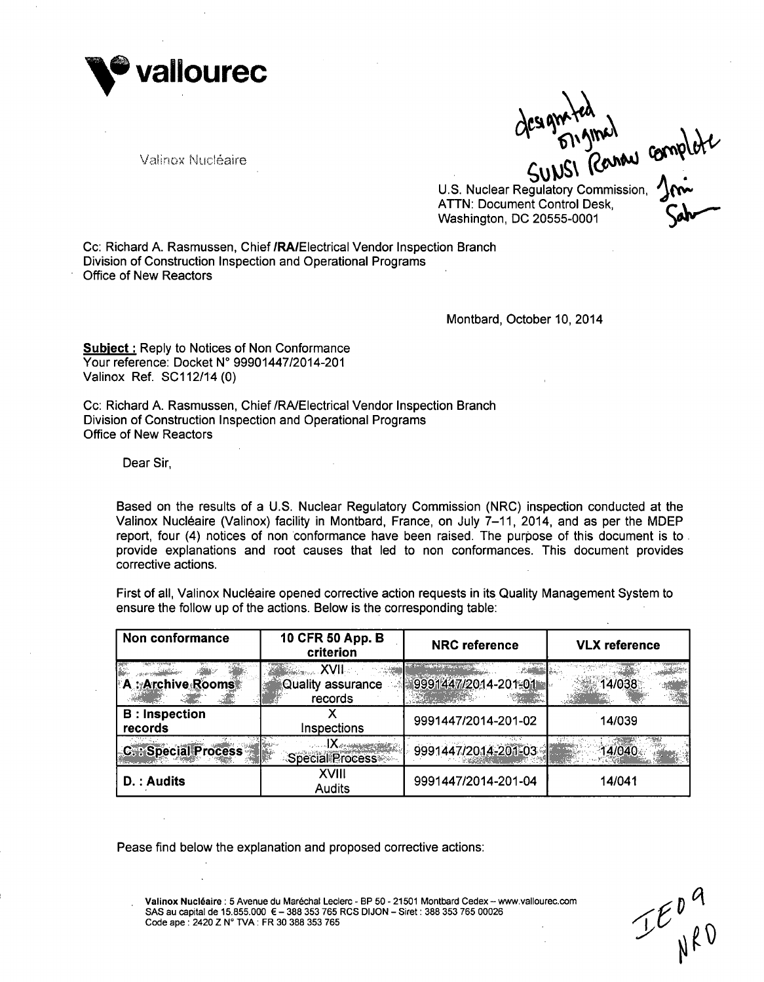

Valinox Nucléaire

Gesystemal complete

U.S. Nuclear Regulatory Commission, ATTN: Document Control Desk, **Washington, DC 20555-0001** 

Cc: Richard A. Rasmussen, Chief /RAIElectrical Vendor Inspection Branch Division of Construction Inspection and Operational Programs Office of New Reactors

Montbard, October 10, 2014

Subiect **:** Reply to Notices of Non Conformance Your reference: Docket **N'** 99901447/2014-201 Valinox Ref. SC112/14 (0)

Cc: Richard A. Rasmussen, Chief /RA/Electrical Vendor Inspection Branch Division of Construction Inspection and Operational Programs Office of New Reactors

Dear Sir,

Based on the results of a U.S. Nuclear Regulatory Commission (NRC) inspection conducted at the Valinox Nucléaire (Valinox) facility in Montbard, France, on July 7-11, 2014, and as per the MDEP report, four (4) notices of non conformance have been raised. The purpose of this document is to provide explanations and root causes that led to non conformances. This document provides corrective actions.

First of all, Valinox Nucléaire opened corrective action requests in its Quality Management System to ensure the follow up of the actions. Below is the corresponding table:

| Non conformance                  | 10 CFR 50 App. B<br>criterion                          | <b>NRC</b> reference | <b>VLX</b> reference |
|----------------------------------|--------------------------------------------------------|----------------------|----------------------|
| A: Archive Rooms                 | ▓▓ <sub>▓▓</sub> ৣৣ ⅩⅧ<br>Quality assurance<br>records | 9991447/2014-201-01  | 14/038               |
| <b>B</b> : Inspection<br>records | Inspections                                            | 9991447/2014-201-02  | 14/039               |
| <b>C.:: Special Process</b>      | <b>Special Process</b>                                 | 9991447/2014-201-03  | 14/040               |
| D.: Audits                       | XVIII<br>Audits                                        | 9991447/2014-201-04  | 14/041               |

Pease find below the explanation and proposed corrective actions:

Valinox Nucléaire : 5 Avenue du Maréchal Leclerc - BP 50 - 21501 Montbard Cedex -- www.vallourec.com **SAS** au capital de **15.855.000 E - 388 353 765** RCS **DIJON** - Siret: **388 353 765 00026** Code ape: 2420 Z **N'** TVA: FR **30 388 353 765**

 $\boldsymbol{\nu}$ ~sJ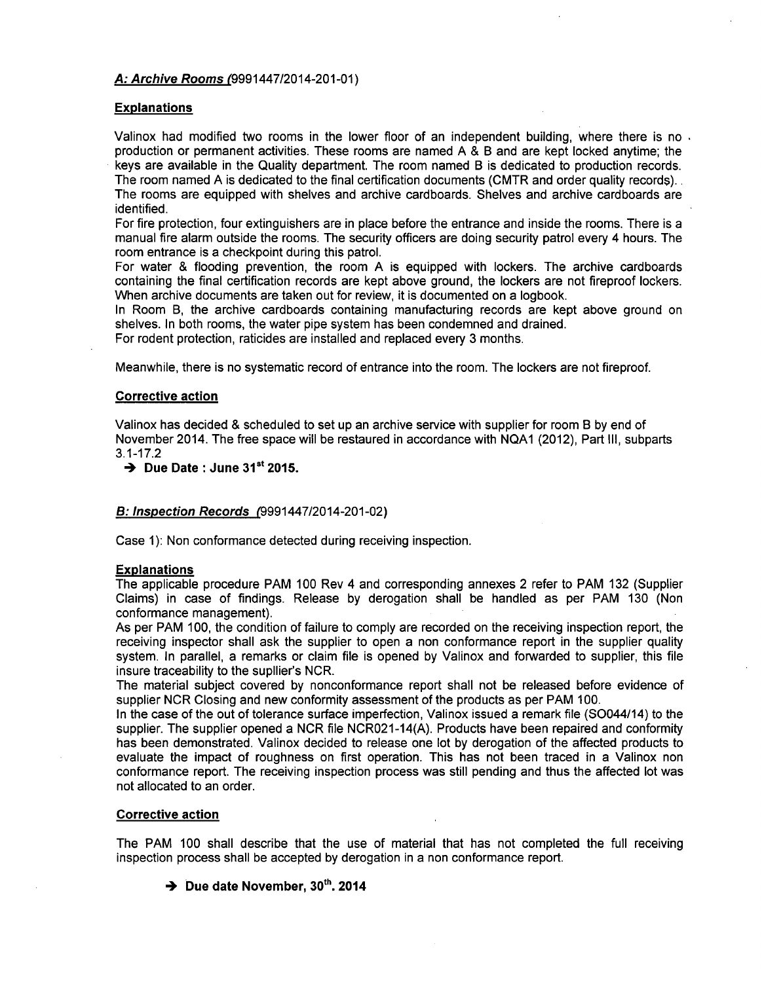# *A: Archive Rooms* (9991447/2014-201-01)

# Explanations

Valinox had modified two rooms in the lower floor of an independent building, where there is no. production or permanent activities. These rooms are named A & B and are kept locked anytime; the keys are available in the Quality department. The room named B is dedicated to production records. The room named A is dedicated to the final certification documents (CMTR and order quality records)..

The rooms are equipped with shelves and archive cardboards. Shelves and archive cardboards are identified.

For fire protection, four extinguishers are in place before the entrance and inside the rooms. There is a manual fire alarm outside the rooms. The security officers are doing security patrol every 4 hours. The room entrance is a checkpoint during this patrol.

For water & flooding prevention, the room A is equipped with lockers. The archive cardboards containing the final certification records are kept above ground, the lockers are not fireproof lockers. When archive documents are taken out for review, it is documented on a logbook.

In Room B, the archive cardboards containing manufacturing records are kept above ground on shelves. In both rooms, the water pipe system has been condemned and drained.

For rodent protection, raticides are installed and replaced every 3 months.

Meanwhile, there is no systematic record of entrance into the room. The lockers are not fireproof.

### Corrective action

Valinox has decided & scheduled to set up an archive service with supplier for room B by end of November 2014. The free space will be restaured in accordance with NQA1 (2012), Part Ill, subparts 3.1-17.2

 $\rightarrow$  Due Date : June 31<sup>st</sup> 2015.

# *B: Inspection Records* (9991447/2014-201-02)

Case 1): Non conformance detected during receiving inspection.

#### Explanations

The applicable procedure PAM 100 Rev 4 and corresponding annexes 2 refer to PAM 132 (Supplier Claims) in case of findings. Release by derogation shall be handled as per PAM 130 (Non conformance management).

As per PAM 100, the condition of failure to comply are recorded on the receiving inspection report, the receiving inspector shall ask the supplier to open a non conformance report in the supplier quality system. In parallel, a remarks or claim file is opened by Valinox and forwarded to supplier, this file insure traceability to the supllier's NCR.

The material subject covered by nonconformance report shall not be released before evidence of supplier NCR Closing and new conformity assessment of the products as per PAM 100.

In the case of the out of tolerance surface imperfection, Valinox issued a remark file (SO044/14) to the supplier. The supplier opened a NCR file NCR021-14(A). Products have been repaired and conformity has been demonstrated. Valinox decided to release one lot by derogation of the affected products to evaluate the impact of roughness on first operation. This has not been traced in a Valinox non conformance report. The receiving inspection process was still pending and thus the affected lot was not allocated to an order.

### Corrective action

The PAM 100 shall describe that the use of material that has not completed the full receiving inspection process shall be accepted by derogation in a non conformance report.

# → Due date November, 30<sup>th</sup>, 2014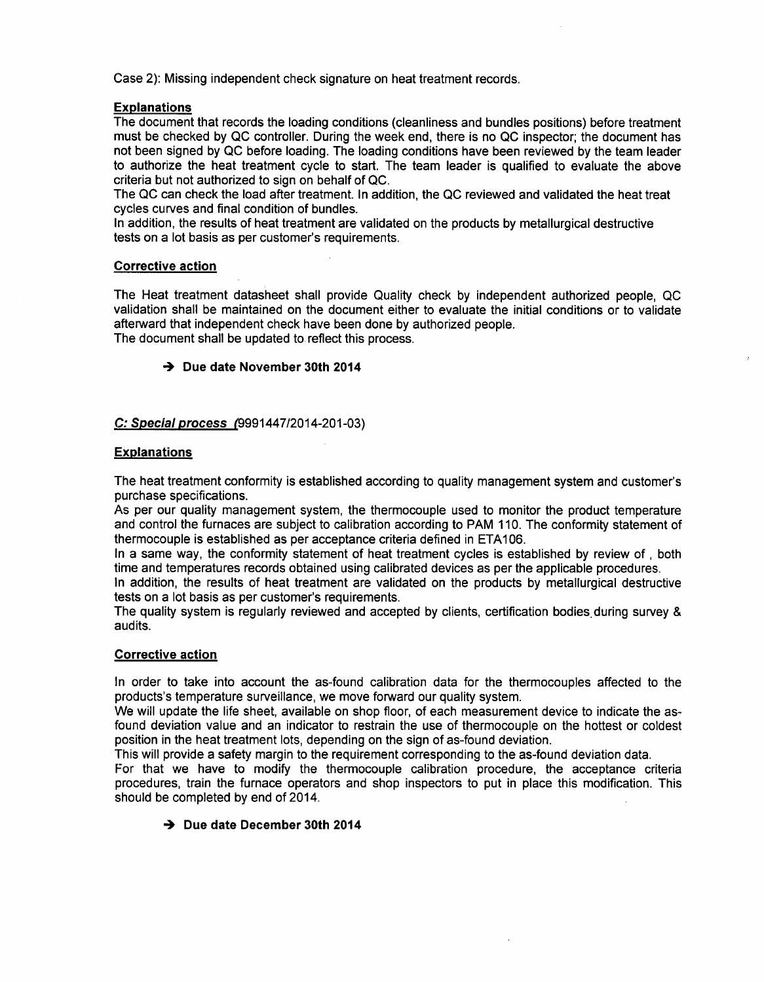Case 2): Missing independent check signature on heat treatment records.

# Explanations

The document that records the loading conditions (cleanliness and bundles positions) before treatment must be checked **by QC** controller. During the week end, there is no **QC** inspector; the document has not been signed **by QC** before loading. The loading conditions have been reviewed **by** the team leader to authorize the heat treatment cycle to start. The team leader is qualified to evaluate the above criteria but not authorized to sign on behalf of **QC.**

The **QC** can check the load after treatment. In addition, the **QC** reviewed and validated the heat treat cycles curves and final condition of bundles.

In addition, the results of heat treatment are validated on the products **by** metallurgical destructive tests on a lot basis as per customer's requirements.

# Corrective action

The Heat treatment datasheet shall provide Quality check **by** independent authorized people, **QC** validation shall be maintained on the document either to evaluate the initial conditions or to validate afterward that independent check have been done **by** authorized people. The document shall be updated to reflect this process.

# **4** Due date November 30th 2014

# **C:** *Special process* (9991447/2014-201-03)

# Explanations

The heat treatment conformity is established according to quality management system and customer's purchase specifications.

As per our quality management system, the thermocouple used to monitor the product temperature and control the furnaces are subject to calibration according to PAM **110.** The conformity statement of thermocouple is established as per acceptance criteria defined in **ETA1 06.**

In a same way, the conformity statement of heat treatment cycles is established **by** review of **,** both time and temperatures records obtained using calibrated devices as per the applicable procedures.

In addition, the results of heat treatment are validated on the products **by** metallurgical destructive tests on a lot basis as per customer's requirements.

The quality system is regularly reviewed and accepted **by** clients, certification bodies.during survey **&** audits.

# Corrective action

In order to take into account the as-found calibration data for the thermocouples affected to the products's temperature surveillance, we move forward our quality system.

We will update the life sheet, available on shop floor, of each measurement device to indicate the asfound deviation value and an indicator to restrain the use of thermocouple on the hottest or coldest position in the heat treatment lots, depending on the sign of as-found deviation.

This will provide a safety margin to the requirement corresponding to the as-found deviation data. For that we have to modify the thermocouple calibration procedure, the acceptance criteria procedures, train the furnace operators and shop inspectors to put in place this modification. This should be completed **by** end of 2014.

# → Due date December 30th 2014